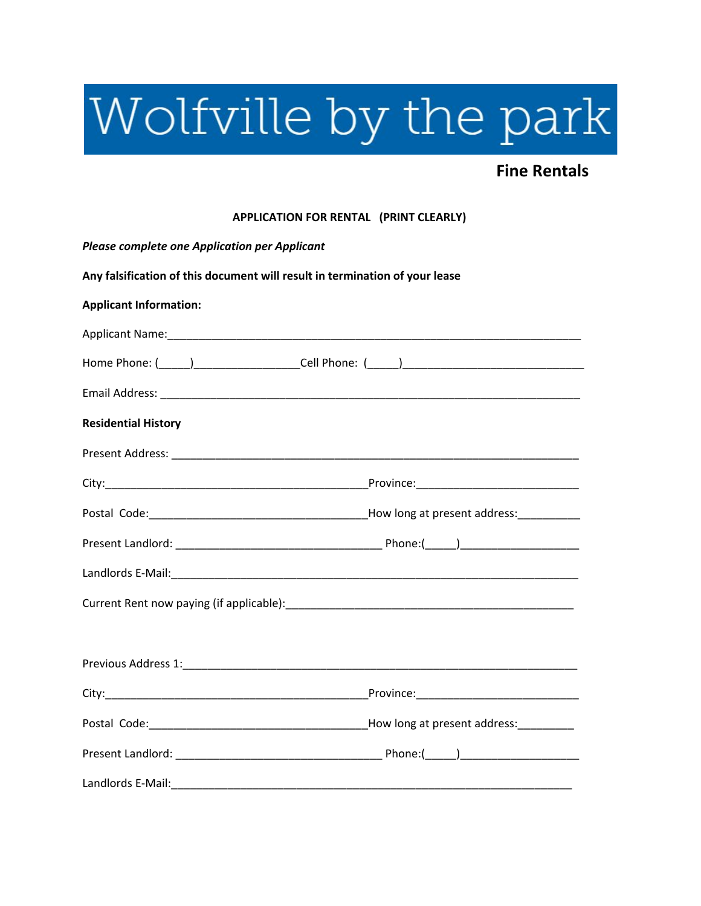## Wolfville by the park

## **Fine Rentals**

## **APPLICATION FOR RENTAL (PRINT CLEARLY)**

| <b>Please complete one Application per Applicant</b>                        |  |  |  |  |
|-----------------------------------------------------------------------------|--|--|--|--|
| Any falsification of this document will result in termination of your lease |  |  |  |  |
| <b>Applicant Information:</b>                                               |  |  |  |  |
|                                                                             |  |  |  |  |
|                                                                             |  |  |  |  |
|                                                                             |  |  |  |  |
| <b>Residential History</b>                                                  |  |  |  |  |
|                                                                             |  |  |  |  |
|                                                                             |  |  |  |  |
|                                                                             |  |  |  |  |
|                                                                             |  |  |  |  |
|                                                                             |  |  |  |  |
|                                                                             |  |  |  |  |
|                                                                             |  |  |  |  |
|                                                                             |  |  |  |  |
|                                                                             |  |  |  |  |
|                                                                             |  |  |  |  |
|                                                                             |  |  |  |  |
|                                                                             |  |  |  |  |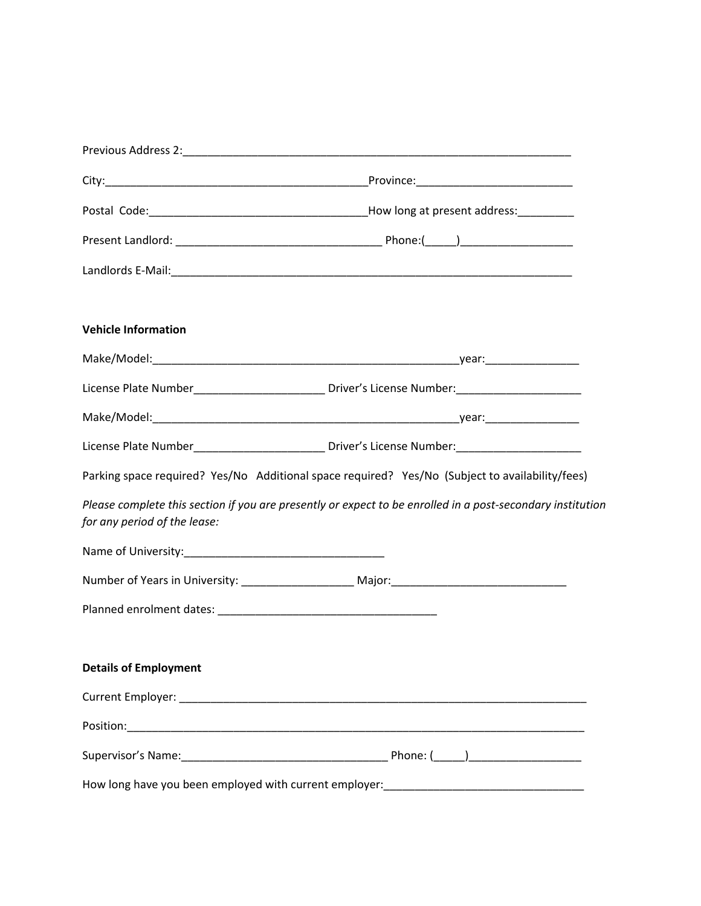| <b>Vehicle Information</b>                                                                                                                 |  |
|--------------------------------------------------------------------------------------------------------------------------------------------|--|
|                                                                                                                                            |  |
|                                                                                                                                            |  |
|                                                                                                                                            |  |
| License Plate Number____________________________ Driver's License Number:__________________________                                        |  |
| Parking space required? Yes/No Additional space required? Yes/No (Subject to availability/fees)                                            |  |
| Please complete this section if you are presently or expect to be enrolled in a post-secondary institution<br>for any period of the lease: |  |
|                                                                                                                                            |  |
|                                                                                                                                            |  |
|                                                                                                                                            |  |
|                                                                                                                                            |  |
| <b>Details of Employment</b>                                                                                                               |  |
|                                                                                                                                            |  |
|                                                                                                                                            |  |
|                                                                                                                                            |  |
| How long have you been employed with current employer:_________________________________                                                    |  |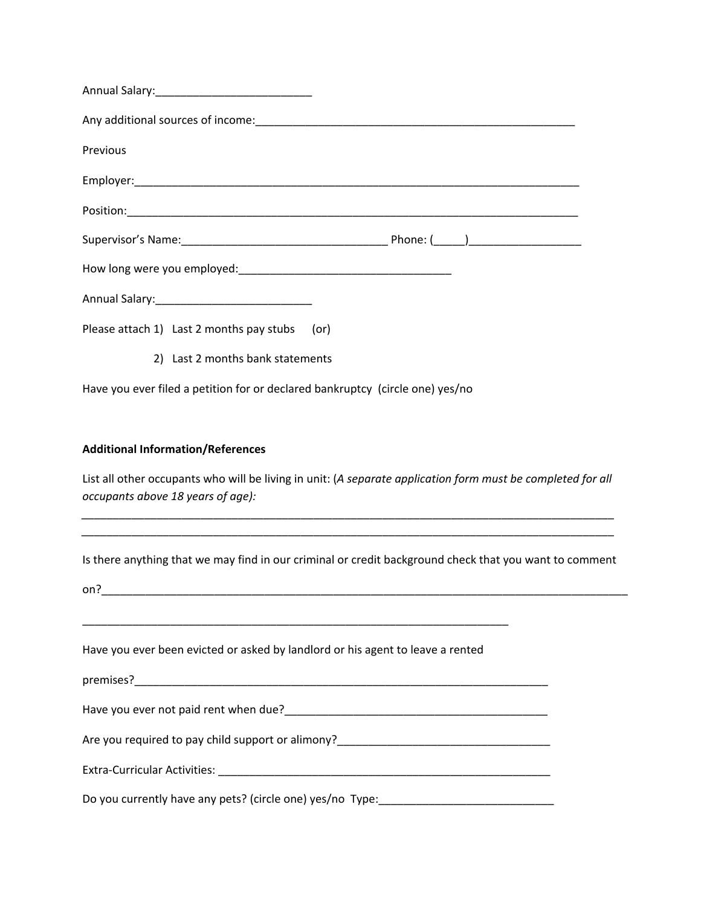| Any additional sources of income: example and a series of the series of the series of the series of the series |                                                                                                             |
|----------------------------------------------------------------------------------------------------------------|-------------------------------------------------------------------------------------------------------------|
| Previous                                                                                                       |                                                                                                             |
|                                                                                                                |                                                                                                             |
|                                                                                                                |                                                                                                             |
|                                                                                                                |                                                                                                             |
|                                                                                                                |                                                                                                             |
|                                                                                                                |                                                                                                             |
| Please attach 1) Last 2 months pay stubs (or)                                                                  |                                                                                                             |
| 2) Last 2 months bank statements                                                                               |                                                                                                             |
| Have you ever filed a petition for or declared bankruptcy (circle one) yes/no                                  |                                                                                                             |
|                                                                                                                |                                                                                                             |
| <b>Additional Information/References</b>                                                                       |                                                                                                             |
| occupants above 18 years of age):                                                                              | List all other occupants who will be living in unit: (A separate application form must be completed for all |
| on?                                                                                                            | Is there anything that we may find in our criminal or credit background check that you want to comment      |
| Have you ever been evicted or asked by landlord or his agent to leave a rented                                 |                                                                                                             |
|                                                                                                                |                                                                                                             |
|                                                                                                                |                                                                                                             |
|                                                                                                                | Are you required to pay child support or alimony?________________________________                           |
|                                                                                                                |                                                                                                             |
|                                                                                                                | Do you currently have any pets? (circle one) yes/no Type:_______________________                            |